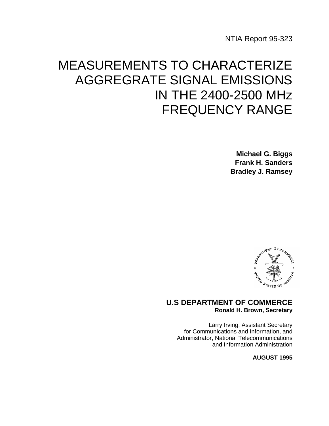NTIA Report 95-323

# MEASUREMENTS TO CHARACTERIZE AGGREGRATE SIGNAL EMISSIONS IN THE 2400-2500 MHz FREQUENCY RANGE

**Michael G. Biggs Frank H. Sanders Bradley J. Ramsey**



## **U.S DEPARTMENT OF COMMERCE Ronald H. Brown, Secretary**

Larry Irving, Assistant Secretary for Communications and Information, and Administrator, National Telecommunications and Information Administration

**AUGUST 1995**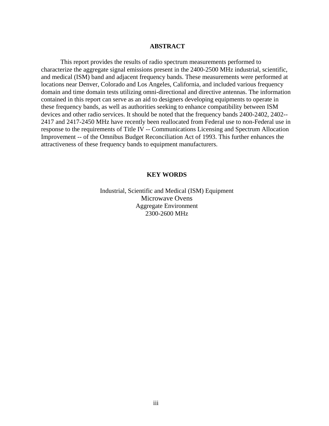#### **ABSTRACT**

 This report provides the results of radio spectrum measurements performed to characterize the aggregate signal emissions present in the 2400-2500 MHz industrial, scientific, and medical (ISM) band and adjacent frequency bands. These measurements were performed at locations near Denver, Colorado and Los Angeles, California, and included various frequency domain and time domain tests utilizing omni-directional and directive antennas. The information contained in this report can serve as an aid to designers developing equipments to operate in these frequency bands, as well as authorities seeking to enhance compatibility between ISM devices and other radio services. It should be noted that the frequency bands 2400-2402, 2402-- 2417 and 2417-2450 MHz have recently been reallocated from Federal use to non-Federal use in response to the requirements of Title IV -- Communications Licensing and Spectrum Allocation Improvement -- of the Omnibus Budget Reconciliation Act of 1993. This further enhances the attractiveness of these frequency bands to equipment manufacturers.

#### **KEY WORDS**

Industrial, Scientific and Medical (ISM) Equipment Microwave Ovens Aggregate Environment 2300-2600 MHz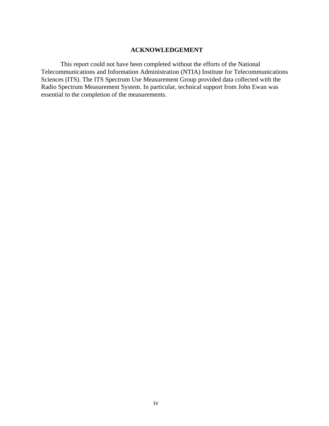#### **ACKNOWLEDGEMENT**

 This report could not have been completed without the efforts of the National Telecommunications and Information Administration (NTIA) Institute for Telecommunications Sciences (ITS). The ITS Spectrum Use Measurement Group provided data collected with the Radio Spectrum Measurement System. In particular, technical support from John Ewan was essential to the completion of the measurements.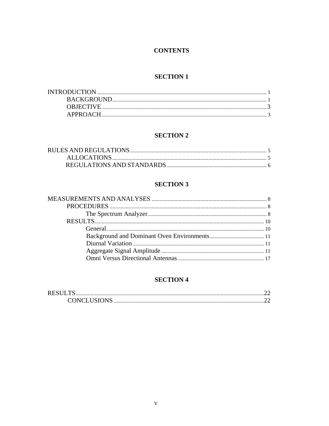## **CONTENTS**

## **SECTION 1**

## **SECTION 2**

## **SECTION 3**

## **SECTION 4**

| <b>RESULTS</b> |  |
|----------------|--|
|                |  |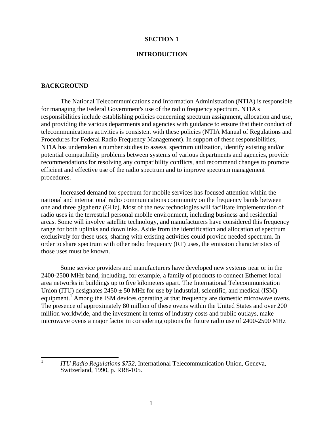#### **SECTION 1**

#### **INTRODUCTION**

#### **BACKGROUND**

 $\frac{1}{1}$ 

The National Telecommunications and Information Administration (NTIA) is responsible for managing the Federal Government's use of the radio frequency spectrum. NTIA's responsibilities include establishing policies concerning spectrum assignment, allocation and use, and providing the various departments and agencies with guidance to ensure that their conduct of telecommunications activities is consistent with these policies (NTIA Manual of Regulations and Procedures for Federal Radio Frequency Management). In support of these responsibilities, NTIA has undertaken a number studies to assess, spectrum utilization, identify existing and/or potential compatibility problems between systems of various departments and agencies, provide recommendations for resolving any compatibility conflicts, and recommend changes to promote efficient and effective use of the radio spectrum and to improve spectrum management procedures.

Increased demand for spectrum for mobile services has focused attention within the national and international radio communications community on the frequency bands between one and three gigahertz (GHz). Most of the new technologies will facilitate implementation of radio uses in the terrestrial personal mobile environment, including business and residential areas. Some will involve satellite technology, and manufacturers have considered this frequency range for both uplinks and downlinks. Aside from the identification and allocation of spectrum exclusively for these uses, sharing with existing activities could provide needed spectrum. In order to share spectrum with other radio frequency (RF) uses, the emission characteristics of those uses must be known.

 Some service providers and manufacturers have developed new systems near or in the 2400-2500 MHz band, including, for example, a family of products to connect Ethernet local area networks in buildings up to five kilometers apart. The International Telecommunication Union (ITU) designates  $2450 \pm 50$  MHz for use by industrial, scientific, and medical (ISM) equipment.<sup>[1](#page-6-0)</sup> Among the ISM devices operating at that frequency are domestic microwave ovens. The presence of approximately 80 million of these ovens within the United States and over 200 million worldwide, and the investment in terms of industry costs and public outlays, make microwave ovens a major factor in considering options for future radio use of 2400-2500 MHz

<span id="page-6-0"></span> *ITU Radio Regulations \$752,* International Telecommunication Union, Geneva, Switzerland, 1990, p. RR8-105.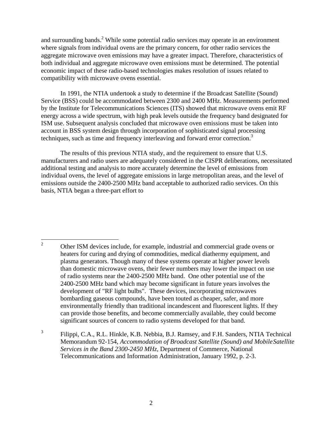and surrounding bands.<sup>[2](#page-7-0)</sup> While some potential radio services may operate in an environment where signals from individual ovens are the primary concern, for other radio services the aggregate microwave oven emissions may have a greater impact. Therefore, characteristics of both individual and aggregate microwave oven emissions must be determined. The potential economic impact of these radio-based technologies makes resolution of issues related to compatibility with microwave ovens essential.

In 1991, the NTIA undertook a study to determine if the Broadcast Satellite (Sound) Service (BSS) could be accommodated between 2300 and 2400 MHz. Measurements performed by the Institute for Telecommunications Sciences (ITS) showed that microwave ovens emit RF energy across a wide spectrum, with high peak levels outside the frequency band designated for ISM use. Subsequent analysis concluded that microwave oven emissions must be taken into account in BSS system design through incorporation of sophisticated signal processing techniques, such as time and frequency interleaving and forward error correction.<sup>3</sup>

The results of this previous NTIA study, and the requirement to ensure that U.S. manufacturers and radio users are adequately considered in the CISPR deliberations, necessitated additional testing and analysis to more accurately determine the level of emissions from individual ovens, the level of aggregate emissions in large metropolitan areas, and the level of emissions outside the 2400-2500 MHz band acceptable to authorized radio services. On this basis, NTIA began a three-part effort to

<span id="page-7-0"></span> $\frac{1}{2}$  Other ISM devices include, for example, industrial and commercial grade ovens or heaters for curing and drying of commodities, medical diathermy equipment, and plasma generators. Though many of these systems operate at higher power levels than domestic microwave ovens, their fewer numbers may lower the impact on use of radio systems near the 2400-2500 MHz band. One other potential use of the 2400-2500 MHz band which may become significant in future years involves the development of "RF light bulbs". These devices, incorporating microwaves bombarding gaseous compounds, have been touted as cheaper, safer, and more environmentally friendly than traditional incandescent and fluorescent lights. If they can provide those benefits, and become commercially available, they could become significant sources of concern to radio systems developed for that band.

<span id="page-7-1"></span><sup>3</sup> Filippi, C.A., R.L. Hinkle, K.B. Nebbia, B.J. Ramsey, and F.H. Sanders, NTIA Technical Memorandum 92-154, *Accommodation of Broadcast Satellite (Sound) and Mobile Satellite Services in the Band 2300-2450 MHz,* Department of Commerce, National Telecommunications and Information Administration, January 1992, p. 2-3.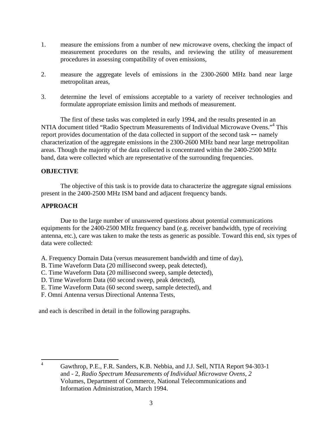- 1. measure the emissions from a number of new microwave ovens, checking the impact of measurement procedures on the results, and reviewing the utility of measurement procedures in assessing compatibility of oven emissions,
- 2. measure the aggregate levels of emissions in the 2300-2600 MHz band near large metropolitan areas,
- 3. determine the level of emissions acceptable to a variety of receiver technologies and formulate appropriate emission limits and methods of measurement.

 The first of these tasks was completed in early 1994, and the results presented in an NTIA document titled "Radio Spectrum Measurements of Individual Microwave Ovens."<sup>4</sup> This report provides documentation of the data collected in support of the second task -- namely characterization of the aggregate emissions in the 2300-2600 MHz band near large metropolitan areas. Though the majority of the data collected is concentrated within the 2400-2500 MHz band, data were collected which are representative of the surrounding frequencies.

#### **OBJECTIVE**

 The objective of this task is to provide data to characterize the aggregate signal emissions present in the 2400-2500 MHz ISM band and adjacent frequency bands.

### **APPROACH**

 Due to the large number of unanswered questions about potential communications equipments for the 2400-2500 MHz frequency band (e.g. receiver bandwidth, type of receiving antenna, etc.), care was taken to make the tests as generic as possible. Toward this end, six types of data were collected:

- A. Frequency Domain Data (versus measurement bandwidth and time of day),
- B. Time Waveform Data (20 millisecond sweep, peak detected),
- C. Time Waveform Data (20 millisecond sweep, sample detected),
- D. Time Waveform Data (60 second sweep, peak detected),
- E. Time Waveform Data (60 second sweep, sample detected), and
- F. Omni Antenna versus Directional Antenna Tests,

and each is described in detail in the following paragraphs.

<span id="page-8-0"></span> $\frac{1}{4}$  Gawthrop, P.E., F.R. Sanders, K.B. Nebbia, and J.J. Sell, NTIA Report 94-303-1 and - 2, *Radio Spectrum Measurements of Individual Microwave Ovens, 2*  Volumes, Department of Commerce, National Telecommunications and Information Administration, March 1994.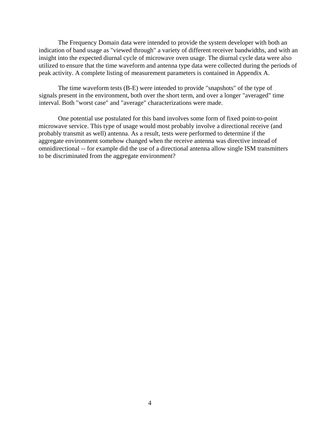The Frequency Domain data were intended to provide the system developer with both an indication of band usage as "viewed through" a variety of different receiver bandwidths, and with an insight into the expected diurnal cycle of microwave oven usage. The diurnal cycle data were also utilized to ensure that the time waveform and antenna type data were collected during the periods of peak activity. A complete listing of measurement parameters is contained in Appendix A.

 The time waveform tests (B-E) were intended to provide "snapshots" of the type of signals present in the environment, both over the short term, and over a longer "averaged" time interval. Both "worst case" and "average" characterizations were made.

 One potential use postulated for this band involves some form of fixed point-to-point microwave service. This type of usage would most probably involve a directional receive (and probably transmit as well) antenna. As a result, tests were performed to determine if the aggregate environment somehow changed when the receive antenna was directive instead of omnidirectional -- for example did the use of a directional antenna allow single ISM transmitters to be discriminated from the aggregate environment?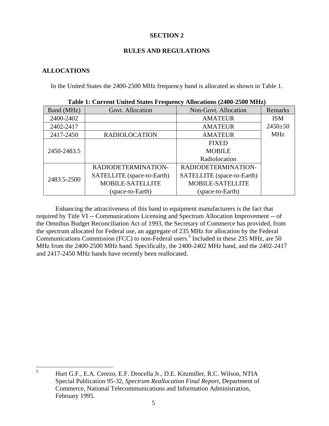## **SECTION 2**

## **RULES AND REGULATIONS**

## **ALLOCATIONS**

5

In the United States the 2400-2500 MHz frequency band is allocated as shown in Table 1.

| Table 1. Current United Blates Prequency Anocauons (2700-2500 MILL) |                            |                            |               |
|---------------------------------------------------------------------|----------------------------|----------------------------|---------------|
| Band (MHz)                                                          | Govt. Allocation           | Non-Govt. Allocation       | Remarks       |
| 2400-2402                                                           |                            | <b>AMATEUR</b>             | <b>ISM</b>    |
| 2402-2417                                                           |                            | <b>AMATEUR</b>             | $2450 \pm 50$ |
| 2417-2450                                                           | <b>RADIOLOCATION</b>       | <b>AMATEUR</b>             | <b>MHz</b>    |
|                                                                     |                            | <b>FIXED</b>               |               |
| 2450-2483.5                                                         |                            | <b>MOBILE</b>              |               |
|                                                                     |                            | Radiolocation              |               |
|                                                                     | RADIODETERMINATION-        | RADIODETERMINATION-        |               |
| 2483.5-2500                                                         | SATELLITE (space-to-Earth) | SATELLITE (space-to-Earth) |               |
|                                                                     | <b>MOBILE-SATELLITE</b>    | <b>MOBILE-SATELLITE</b>    |               |
|                                                                     | (space-to-Earth)           | (space-to-Earth)           |               |

 Enhancing the attractiveness of this band to equipment manufacturers is the fact that required by Title VI -- Communications Licensing and Spectrum Allocation Improvement -- of the Omnibus Budget Reconciliation Act of 1993, the Secretary of Commerce has provided, from the spectrum allocated for Federal use, an aggregate of 235 MHz for allocation by the Federal Communications Commission (FCC) to non-Federal users.<sup>[5](#page-10-0)</sup> Included in these 235 MHz, are 50 MHz from the 2400-2500 MHz band. Specifically, the 2400-2402 MHz band, and the 2402-2417 and 2417-2450 MHz bands have recently been reallocated.

<span id="page-10-0"></span>Hurt G.F., E.A. Cerezo, E.F. Drocella Jr., D.E. Kitzmiller, R.C. Wilson, NTIA Special Publication 95-32, *Spectrum Reallocation Final Report,* Department of Commerce, National Telecommunications and Information Administration, February 1995.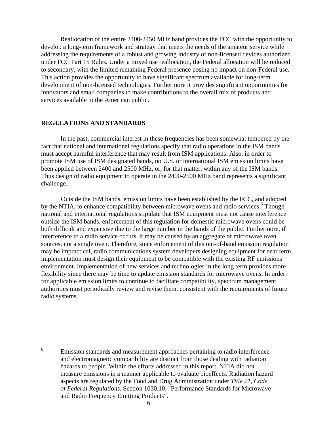Reallocation of the entire 2400-2450 MHz band provides the FCC with the opportunity to develop a long-term framework and strategy that meets the needs of the amateur service while addressing the requirements of a robust and growing industry of non-licensed devices authorized under FCC Part 15 Rules. Under a mixed use reallocation, the Federal allocation will be reduced to secondary, with the limited remaining Federal presence posing no impact on non-Federal use. This action provides the opportunity to have significant spectrum available for long-term development of non-licensed technologies. Furthermore it provides significant opportunities for innovators and small companies to make contributions to the overall mix of products and services available to the American public.

#### **REGULATIONS AND STANDARDS**

In the past, commercial interest in these frequencies has been somewhat tempered by the fact that national and international regulations specify that radio operations in the ISM bands must accept harmful interference that may result from ISM applications. Also, in order to promote ISM use of ISM designated bands, no U.S. or international ISM emission limits have been applied between 2400 and 2500 MHz, or, for that matter, within any of the ISM bands. Thus design of radio equipment to operate in the 2400-2500 MHz band represents a significant challenge.

Outside the ISM bands, emission limits have been established by the FCC, and adopted by the NTIA, to enhance compatibility between microwave ovens and radio services.<sup>6</sup> Though national and international regulations stipulate that ISM equipment must not cause interference outside the ISM bands, enforcement of this regulation for domestic microwave ovens could be both difficult and expensive due to the large number in the hands of the public. Furthermore, if interference to a radio service occurs, it may be caused by an aggregate of microwave oven sources, not a single oven. Therefore, since enforcement of this out-of-band emission regulation may be impractical, radio communications system developers designing equipment for near term implementation must design their equipment to be compatible with the existing RF emissions environment. Implementation of new services and technologies in the long term provides more flexibility since there may be time to update emission standards for microwave ovens. In order for applicable emission limits to continue to facilitate compatibility, spectrum management authorities must periodically review and revise them, consistent with the requirements of future radio systems.

<span id="page-11-0"></span> $\frac{1}{6}$  Emission standards and measurement approaches pertaining to radio interference and electromagnetic compatibility are distinct from those dealing with radiation hazards to people. Within the efforts addressed in this report, NTIA did not measure emissions in a manner applicable to evaluate bioeffects. Radiation hazard aspects are regulated by the Food and Drug Administration under *Title 21, Code of Federal Regulations,* Section 1030.10, "Performance Standards for Microwave and Radio Frequency Emitting Products".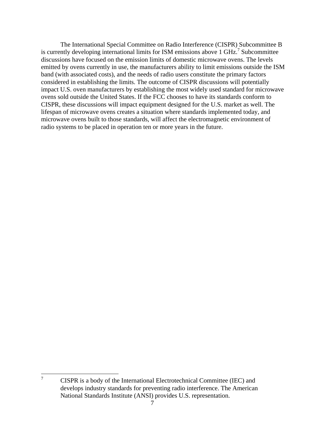The International Special Committee on Radio Interference (CISPR) Subcommittee B is currently developing international limits for ISM emissions above 1 GHz.<sup>[7](#page-12-0)</sup> Subcommittee discussions have focused on the emission limits of domestic microwave ovens. The levels emitted by ovens currently in use, the manufacturers ability to limit emissions outside the ISM band (with associated costs), and the needs of radio users constitute the primary factors considered in establishing the limits. The outcome of CISPR discussions will potentially impact U.S. oven manufacturers by establishing the most widely used standard for microwave ovens sold outside the United States. If the FCC chooses to have its standards conform to CISPR, these discussions will impact equipment designed for the U.S. market as well. The lifespan of microwave ovens creates a situation where standards implemented today, and microwave ovens built to those standards, will affect the electromagnetic environment of radio systems to be placed in operation ten or more years in the future.

<sup>-</sup>7

<span id="page-12-0"></span>CISPR is a body of the International Electrotechnical Committee (IEC) and develops industry standards for preventing radio interference. The American National Standards Institute (ANSI) provides U.S. representation.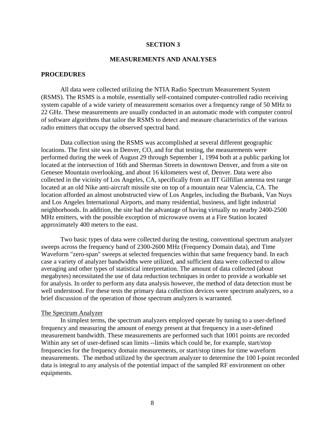#### **SECTION 3**

#### **MEASUREMENTS AND ANALYSES**

#### **PROCEDURES**

All data were collected utilizing the NTIA Radio Spectrum Measurement System (RSMS). The RSMS is a mobile, essentially self-contained computer-controlled radio receiving system capable of a wide variety of measurement scenarios over a frequency range of 50 MHz to 22 GHz. These measurements are usually conducted in an automatic mode with computer control of software algorithms that tailor the RSMS to detect and measure characteristics of the various radio emitters that occupy the observed spectral band.

Data collection using the RSMS was accomplished at several different geographic locations. The first site was in Denver, CO, and for that testing, the measurements were performed during the week of August 29 through September 1, 1994 both at a public parking lot located at the intersection of 16th and Sherman Streets in downtown Denver, and from a site on Genesee Mountain overlooking, and about 16 kilometers west of, Denver. Data were also collected in the vicinity of Los Angeles, CA, specifically from an IIT Gilfillan antenna test range located at an old Nike anti-aircraft missile site on top of a mountain near Valencia, CA. The location afforded an almost unobstructed view of Los Angeles, including the Burbank, Van Nuys and Los Angeles International Airports, and many residential, business, and light industrial neighborhoods. In addition, the site had the advantage of having virtually no nearby 2400-2500 MHz emitters, with the possible exception of microwave ovens at a Fire Station located approximately 400 meters to the east.

Two basic types of data were collected during the testing, conventional spectrum analyzer sweeps across the frequency band of 2300-2600 MHz (Frequency Domain data), and Time Waveform "zero-span" sweeps at selected frequencies within that same frequency band. In each case a variety of analyzer bandwidths were utilized, and sufficient data were collected to allow averaging and other types of statistical interpretation. The amount of data collected (about megabytes) necessitated the use of data reduction techniques in order to provide a workable set for analysis. In order to perform any data analysis however, the method of data detection must be well understood. For these tests the primary data collection devices were spectrum analyzers, so a brief discussion of the operation of those spectrum analyzers is warranted.

#### The Spectrum Analyzer

In simplest terms, the spectrum analyzers employed operate by tuning to a user-defined frequency and measuring the amount of energy present at that frequency in a user-defined measurement bandwidth. These measurements are performed such that 1001 points are recorded Within any set of user-defined scan limits --limits which could be, for example, start/stop frequencies for the frequency domain measurements, or start/stop times for time waveform measurements. The method utilized by the spectrum analyzer to determine the 100 I-point recorded data is integral to any analysis of the potential impact of the sampled RF environment on other equipments.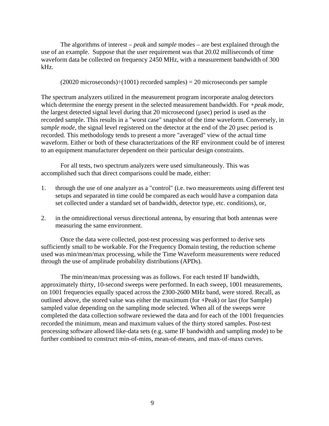The algorithms of interest – *peak* and *sample* modes – are best explained through the use of an example. Suppose that the user requirement was that 20.02 milliseconds of time waveform data be collected on frequency 2450 MHz, with a measurement bandwidth of 300 kHz.

 $(20020 \text{ microseconds}) \div (1001)$  recorded samples) = 20 microseconds per sample

The spectrum analyzers utilized in the measurement program incorporate analog detectors which determine the energy present in the selected measurement bandwidth. For *+peak mode*, the largest detected signal level during that 20 microsecond (µsec) period is used as the recorded sample. This results in a "worst case" snapshot of the time waveform. Conversely, in *sample mode*, the signal level registered on the detector at the end of the 20 usec period is recorded. This methodology tends to present a more "averaged" view of the actual time waveform. Either or both of these characterizations of the RF environment could be of interest to an equipment manufacturer dependent on their particular design constraints.

 For all tests, two spectrum analyzers were used simultaneously. This was accomplished such that direct comparisons could be made, either:

- 1. through the use of one analyzer as a "control" (i.e. two measurements using different test setups and separated in time could be compared as each would have a companion data set collected under a standard set of bandwidth, detector type, etc. conditions), or,
- 2. in the omnidirectional versus directional antenna, by ensuring that both antennas were measuring the same environment.

 Once the data were collected, post-test processing was performed to derive sets sufficiently small to be workable. For the Frequency Domain testing, the reduction scheme used was min/mean/max processing, while the Time Waveform measurements were reduced through the use of amplitude probability distributions (APDs).

 The min/mean/max processing was as follows. For each tested IF bandwidth, approximately thirty, 10-second sweeps were performed. In each sweep, 1001 measurements, on 1001 frequencies equally spaced across the 2300-2600 MHz band, were stored. Recall, as outlined above, the stored value was either the maximum (for +Peak) or last (for Sample) sampled value depending on the sampling mode selected. When all of the sweeps were completed the data collection software reviewed the data and for each of the 1001 frequencies recorded the minimum, mean and maximum values of the thirty stored samples. Post-test processing software allowed like-data sets (e.g. same IF bandwidth and sampling mode) to be further combined to construct min-of-mins, mean-of-means, and max-of-maxs curves.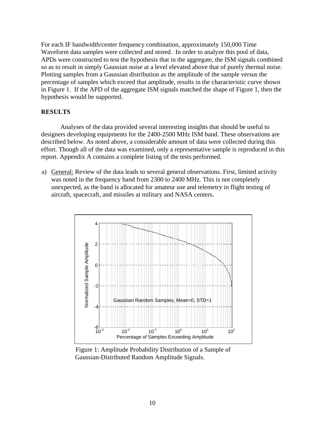For each IF bandwidth/center frequency combination, approximately 150,000 Time Waveform data samples were collected and stored. In order to analyze this pool of data, APDs were constructed to test the hypothesis that in the aggregate, the ISM signals combined so as to result in simply Gaussian noise at a level elevated above that of purely thermal noise. Plotting samples from a Gaussian distribution as the amplitude of the sample versus the percentage of samples which exceed that amplitude, results in the characteristic curve shown in Figure 1. If the APD of the aggregate ISM signals matched the shape of Figure 1, then the hypothesis would be supported.

#### **RESULTS**

Analyses of the data provided several interesting insights that should be useful to designers developing equipments for the 2400-2500 MHz ISM band. These observations are described below. As noted above, a considerable amount of data were collected during this effort. Though all of the data was examined, only a representative sample is reproduced in this report. Appendix A contains a complete listing of the tests performed.

a) General: Review of the data leads to several general observations. First, limited activity was noted in the frequency band from 2300 to 2400 MHz. This is not completely unexpected, as the band is allocated for amateur use and telemetry in flight testing of aircraft, spacecraft, and missiles at military and NASA centers.



Figure 1: Amplitude Probability Distribution of a Sample of Gaussian-Distributed Random Amplitude Signals.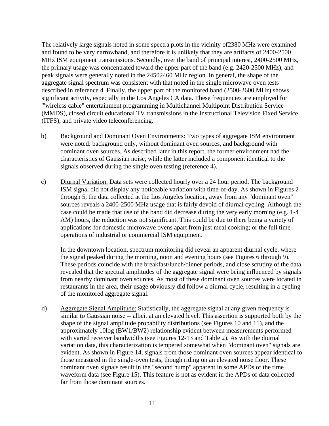The relatively large signals noted in some spectra plots in the vicinity of2380 MHz were examined and found to be very narrowband, and therefore it is unlikely that they are artifacts of 2400-2500 MHz ISM equipment transmissions. Secondly, over the band of principal interest, 2400-2500 MHz, the primary usage was concentrated toward the upper part of the band (e.g. 2420-2500 MHz), and peak signals were generally noted in the 24502460 MHz region. In general, the shape of the aggregate signal spectrum was consistent with that noted in the single microwave oven tests described in reference 4. Finally, the upper part of the monitored band (2500-2600 MHz) shows significant activity, especially in the Los Angeles CA data. These frequencies are employed for '"wireless cable" entertainment programming in Multichannel Multipoint Distribution Service (MMDS), closed circuit educational TV transmissions in the Instructional Television Fixed Service (ITFS), and private video teleconferencing.

- b) Background and Dominant Oven Environments: Two types of aggregate ISM environment were noted: background only, without dominant oven sources, and background with dominant oven sources. As described later in this report, the former environment had the characteristics of Gaussian noise, while the latter included a component identical to the signals observed during the single oven testing (reference 4).
- c) Diurnal Variation: Data sets were collected hourly over a 24 hour period. The background ISM signal did not display any noticeable variation with time-of-day. As shown in Figures 2 through 5, the data collected at the Los Angeles location, away from any "dominant oven" sources reveals a 2400-2500 MHz usage that is fairly devoid of diurnal cycling. Although the case could be made that use of the band did decrease during the very early morning (e.g. 1-4 AM) hours, the reduction was not significant. This could be due to there being a variety of applications for domestic microwave ovens apart from just meal cooking; or the full time operations of industrial or commercial ISM equipment.

In the downtown location, spectrum monitoring did reveal an apparent diurnal cycle, where the signal peaked during the morning, noon and evening hours (see Figures 6 through 9). These periods coincide with the breakfast/lunch/dinner periods, and close scrutiny of the data revealed that the spectral amplitudes of the aggregate signal were being influenced by signals from nearby dominant oven sources. As most of these dominant oven sources were located in restaurants in the area, their usage obviously did follow a diurnal cycle, resulting in a cycling of the monitored aggregate signal.

d) Aggregate Signal Amplitude: Statistically, the aggregate signal at any given frequency is similar to Gaussian noise -- albeit at an elevated level. This assertion is supported both by the shape of the signal amplitude probability distributions (see Figures 10 and 11), and the approximately 10log (BW1/BW2) relationship evident between measurements performed with varied receiver bandwidths (see Figures 12-13 and Table 2). As with the diurnal variation data, this characterization is tempered somewhat when "dominant oven" signals are evident. As shown in Figure 14, signals from those dominant oven sources appear identical to those measured in the single-oven tests, though riding on an elevated noise floor. These dominant oven signals result in the "second hump" apparent in some APDs of the time waveform data (see Figure 15). This feature is not as evident in the APDs of data collected far from those dominant sources.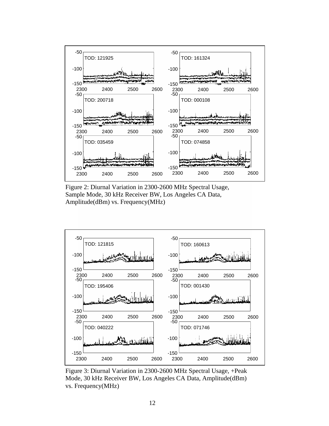

Figure 2: Diurnal Variation in 2300-2600 MHz Spectral Usage, Sample Mode, 30 kHz Receiver BW, Los Angeles CA Data, Amplitude(dBm) vs. Frequency(MHz)



Figure 3: Diurnal Variation in 2300-2600 MHz Spectral Usage, +Peak Mode, 30 kHz Receiver BW, Los Angeles CA Data, Amplitude(dBm) vs. Frequency(MHz)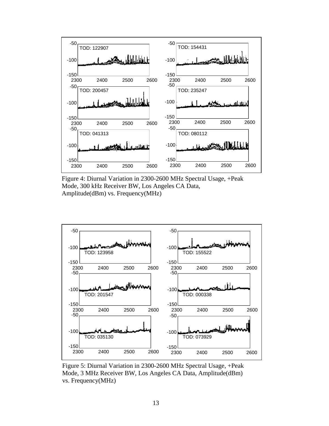

Figure 4: Diurnal Variation in 2300-2600 MHz Spectral Usage, +Peak Mode, 300 kHz Receiver BW, Los Angeles CA Data, Amplitude(dBm) vs. Frequency(MHz)



Figure 5: Diurnal Variation in 2300-2600 MHz Spectral Usage, +Peak Mode, 3 MHz Receiver BW, Los Angeles CA Data, Amplitude(dBm) vs. Frequency(MHz)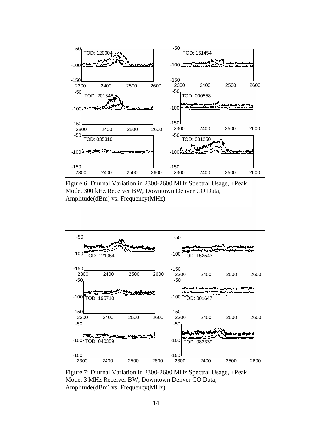

Figure 6: Diurnal Variation in 2300-2600 MHz Spectral Usage, +Peak Mode, 300 kHz Receiver BW, Downtown Denver CO Data, Amplitude(dBm) vs. Frequency(MHz)



Figure 7: Diurnal Variation in 2300-2600 MHz Spectral Usage, +Peak Mode, 3 MHz Receiver BW, Downtown Denver CO Data, Amplitude(dBm) vs. Frequency(MHz)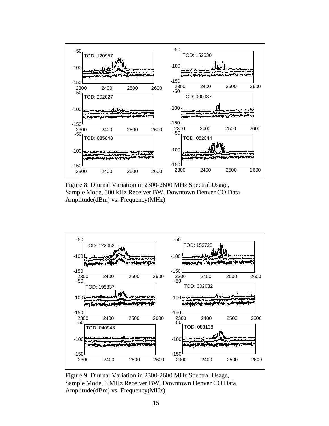

Figure 8: Diurnal Variation in 2300-2600 MHz Spectral Usage, Sample Mode, 300 kHz Receiver BW, Downtown Denver CO Data, Amplitude(dBm) vs. Frequency(MHz)



Figure 9: Diurnal Variation in 2300-2600 MHz Spectral Usage, Sample Mode, 3 MHz Receiver BW, Downtown Denver CO Data, Amplitude(dBm) vs. Frequency(MHz)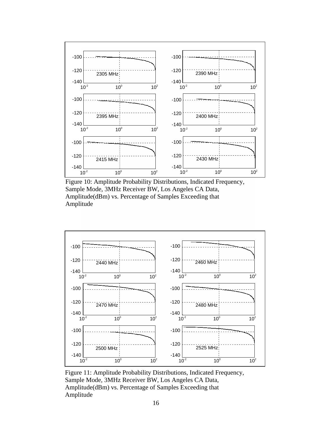

Figure 10: Amplitude Probability Distributions, Indicated Frequency, Sample Mode, 3MHz Receiver BW, Los Angeles CA Data, Amplitude(dBm) vs. Percentage of Samples Exceeding that Amplitude



Figure 11: Amplitude Probability Distributions, Indicated Frequency, Sample Mode, 3MHz Receiver BW, Los Angeles CA Data, Amplitude(dBm) vs. Percentage of Samples Exceeding that Amplitude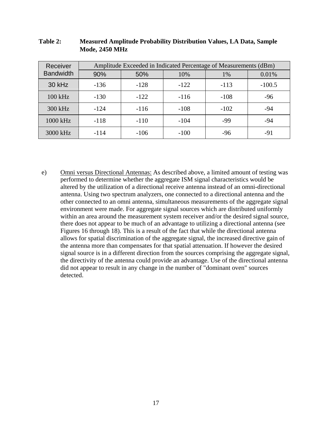| Receiver         | Amplitude Exceeded in Indicated Percentage of Measurements (dBm) |        |        |        |          |
|------------------|------------------------------------------------------------------|--------|--------|--------|----------|
| <b>Bandwidth</b> | 90%                                                              | 50%    | 10%    | $1\%$  | 0.01%    |
| 30 kHz           | $-136$                                                           | $-128$ | $-122$ | $-113$ | $-100.5$ |
| $100$ kHz        | $-130$                                                           | $-122$ | $-116$ | $-108$ | $-96$    |
| 300 kHz          | $-124$                                                           | $-116$ | $-108$ | $-102$ | $-94$    |
| 1000 kHz         | $-118$                                                           | $-110$ | $-104$ | -99    | $-94$    |
| 3000 kHz         | $-114$                                                           | $-106$ | $-100$ | $-96$  | -91      |

| Table 2: | <b>Measured Amplitude Probability Distribution Values, LA Data, Sample</b> |
|----------|----------------------------------------------------------------------------|
|          | <b>Mode, 2450 MHz</b>                                                      |

e) Omni versus Directional Antennas: As described above, a limited amount of testing was performed to determine whether the aggregate ISM signal characteristics would be altered by the utilization of a directional receive antenna instead of an omni-directional antenna. Using two spectrum analyzers, one connected to a directional antenna and the other connected to an omni antenna, simultaneous measurements of the aggregate signal environment were made. For aggregate signal sources which are distributed uniformly within an area around the measurement system receiver and/or the desired signal source, there does not appear to be much of an advantage to utilizing a directional antenna (see Figures 16 through 18). This is a result of the fact that while the directional antenna allows for spatial discrimination of the aggregate signal, the increased directive gain of the antenna more than compensates for that spatial attenuation. If however the desired signal source is in a different direction from the sources comprising the aggregate signal, the directivity of the antenna could provide an advantage. Use of the directional antenna did not appear to result in any change in the number of "dominant oven" sources detected.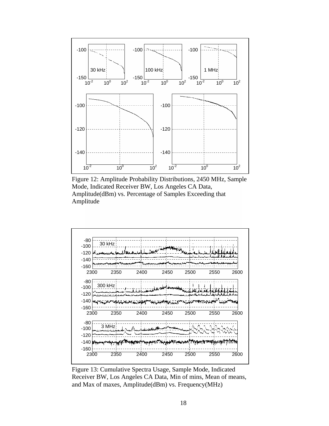

Figure 12: Amplitude Probability Distributions, 2450 MHz, Sample Mode, Indicated Receiver BW, Los Angeles CA Data, Amplitude(dBm) vs. Percentage of Samples Exceeding that Amplitude



Figure 13: Cumulative Spectra Usage, Sample Mode, Indicated Receiver BW, Los Angeles CA Data, Min of mins, Mean of means, and Max of maxes, Amplitude(dBm) vs. Frequency(MHz)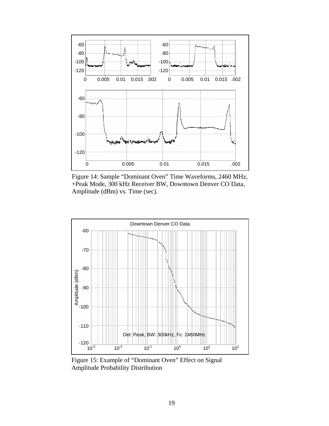

Figure 14: Sample "Dominant Oven" Time Waveforms, 2460 MHz, +Peak Mode, 300 kHz Receiver BW, Downtown Denver CO Data, Amplitude (dBm) vs. Time (sec).



Figure 15: Example of "Dominant Oven" Effect on Signal Amplitude Probability Distribution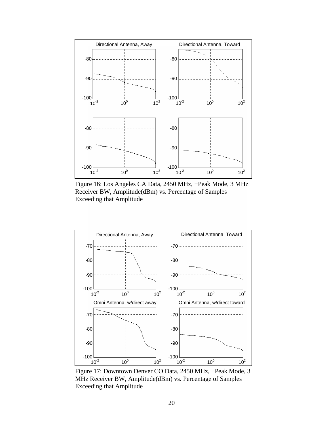

Figure 16: Los Angeles CA Data, 2450 MHz, +Peak Mode, 3 MHz Receiver BW, Amplitude(dBm) vs. Percentage of Samples Exceeding that Amplitude



Figure 17: Downtown Denver CO Data, 2450 MHz, +Peak Mode, 3 MHz Receiver BW, Amplitude(dBm) vs. Percentage of Samples Exceeding that Amplitude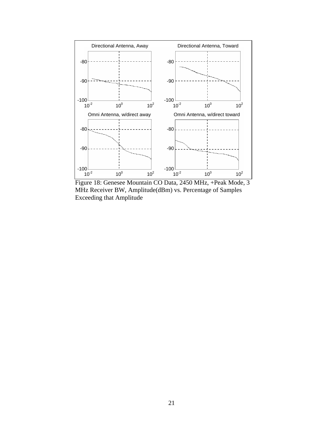

Figure 18: Genesee Mountain CO Data, 2450 MHz, +Peak Mode, 3 MHz Receiver BW, Amplitude(dBm) vs. Percentage of Samples Exceeding that Amplitude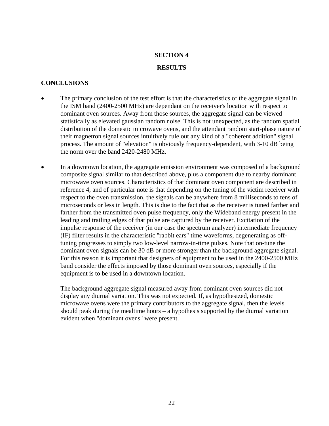## **SECTION 4**

## **RESULTS**

## **CONCLUSIONS**

- The primary conclusion of the test effort is that the characteristics of the aggregate signal in the ISM band (2400-2500 MHz) are dependant on the receiver's location with respect to dominant oven sources. Away from those sources, the aggregate signal can be viewed statistically as elevated gaussian random noise. This is not unexpected, as the random spatial distribution of the domestic microwave ovens, and the attendant random start-phase nature of their magnetron signal sources intuitively rule out any kind of a "coherent addition" signal process. The amount of "elevation" is obviously frequency-dependent, with 3-10 dB being the norm over the band 2420-2480 MHz.
- In a downtown location, the aggregate emission environment was composed of a background composite signal similar to that described above, plus a component due to nearby dominant microwave oven sources. Characteristics of that dominant oven component are described in reference 4, and of particular note is that depending on the tuning of the victim receiver with respect to the oven transmission, the signals can be anywhere from 8 milliseconds to tens of microseconds or less in length. This is due to the fact that as the receiver is tuned farther and farther from the transmitted oven pulse frequency, only the Wideband energy present in the leading and trailing edges of that pulse are captured by the receiver. Excitation of the impulse response of the receiver (in our case the spectrum analyzer) intermediate frequency (IF) filter results in the characteristic "rabbit ears" time waveforms, degenerating as offtuning progresses to simply two low-level narrow-in-time pulses. Note that on-tune the dominant oven signals can be 30 dB or more stronger than the background aggregate signal. For this reason it is important that designers of equipment to be used in the 2400-2500 MHz band consider the effects imposed by those dominant oven sources, especially if the equipment is to be used in a downtown location.

 The background aggregate signal measured away from dominant oven sources did not display any diurnal variation. This was not expected. If, as hypothesized, domestic microwave ovens were the primary contributors to the aggregate signal, then the levels should peak during the mealtime hours – a hypothesis supported by the diurnal variation evident when "dominant ovens" were present.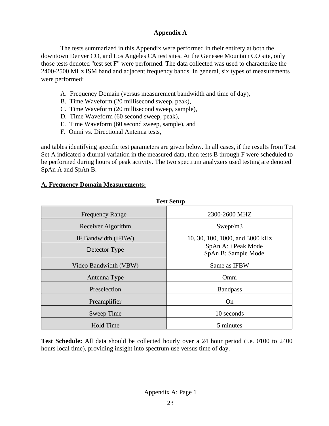## **Appendix A**

The tests summarized in this Appendix were performed in their entirety at both the downtown Denver CO, and Los Angeles CA test sites. At the Genesee Mountain CO site, only those tests denoted "test set F" were performed. The data collected was used to characterize the 2400-2500 MHz ISM band and adjacent frequency bands. In general, six types of measurements were performed:

- A. Frequency Domain (versus measurement bandwidth and time of day),
- B. Time Waveform (20 millisecond sweep, peak),
- C. Time Waveform (20 millisecond sweep, sample),
- D. Time Waveform (60 second sweep, peak),
- E. Time Waveform (60 second sweep, sample), and
- F. Omni vs. Directional Antenna tests,

and tables identifying specific test parameters are given below. In all cases, if the results from Test Set A indicated a diurnal variation in the measured data, then tests B through F were scheduled to be performed during hours of peak activity. The two spectrum analyzers used testing are denoted SpAn A and SpAn B.

## **A. Frequency Domain Measurements:**

| Test Setup             |                                           |  |
|------------------------|-------------------------------------------|--|
| <b>Frequency Range</b> | 2300-2600 MHZ                             |  |
| Receiver Algorithm     | Swept/m3                                  |  |
| IF Bandwidth (IFBW)    | 10, 30, 100, 1000, and 3000 kHz           |  |
| Detector Type          | SpAn A: +Peak Mode<br>SpAn B: Sample Mode |  |
| Video Bandwidth (VBW)  | Same as IFBW                              |  |
| Antenna Type           | Omni                                      |  |
| Preselection           | <b>Bandpass</b>                           |  |
| Preamplifier           | On                                        |  |
| Sweep Time             | 10 seconds                                |  |
| <b>Hold Time</b>       | 5 minutes                                 |  |

**Test Setup** 

**Test Schedule:** All data should be collected hourly over a 24 hour period (i.e. 0100 to 2400 hours local time), providing insight into spectrum use versus time of day.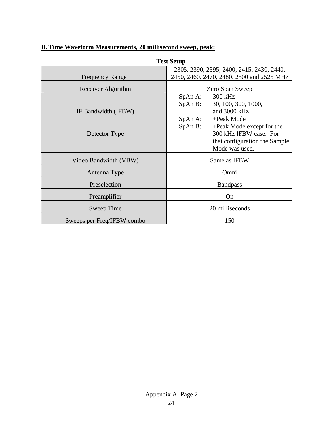| <b>Test Setup</b>          |                                           |  |
|----------------------------|-------------------------------------------|--|
|                            | 2305, 2390, 2395, 2400, 2415, 2430, 2440, |  |
| <b>Frequency Range</b>     | 2450, 2460, 2470, 2480, 2500 and 2525 MHz |  |
| Receiver Algorithm         | Zero Span Sweep                           |  |
|                            | SpAn A:<br>300 kHz                        |  |
|                            | 30, 100, 300, 1000,<br>SpAn B:            |  |
| IF Bandwidth (IFBW)        | and 3000 kHz                              |  |
|                            | SpAn A:<br>+Peak Mode                     |  |
|                            | SpAn B:<br>+Peak Mode except for the      |  |
| Detector Type              | 300 kHz IFBW case. For                    |  |
|                            | that configuration the Sample             |  |
|                            | Mode was used.                            |  |
| Video Bandwidth (VBW)      | Same as IFBW                              |  |
| Antenna Type               | Omni                                      |  |
| Preselection               | <b>Bandpass</b>                           |  |
| Preamplifier               | On                                        |  |
| Sweep Time                 | 20 milliseconds                           |  |
| Sweeps per Freq/IFBW combo | 150                                       |  |

# **B. Time Waveform Measurements, 20 millisecond sweep, peak:**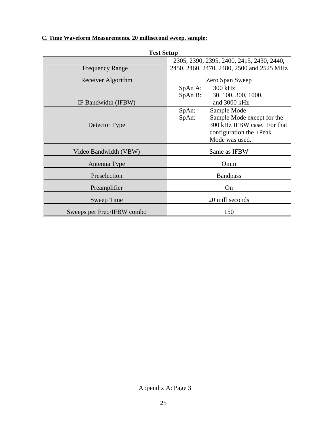## **C. Time Waveform Measurements. 20 millisecond sweep. sample:**

| <b>Test Setup</b>          |                                           |  |
|----------------------------|-------------------------------------------|--|
|                            | 2305, 2390, 2395, 2400, 2415, 2430, 2440, |  |
| <b>Frequency Range</b>     | 2450, 2460, 2470, 2480, 2500 and 2525 MHz |  |
| Receiver Algorithm         | Zero Span Sweep                           |  |
|                            | SpAn A:<br>300 kHz                        |  |
|                            | SpAn B:<br>30, 100, 300, 1000,            |  |
| IF Bandwidth (IFBW)        | and 3000 kHz                              |  |
|                            | SpAn:<br>Sample Mode                      |  |
|                            | SpAn:<br>Sample Mode except for the       |  |
| Detector Type              | 300 kHz IFBW case. For that               |  |
|                            | configuration the +Peak                   |  |
|                            | Mode was used.                            |  |
| Video Bandwidth (VBW)      | Same as IFBW                              |  |
| Antenna Type               | Omni                                      |  |
| Preselection               | <b>Bandpass</b>                           |  |
|                            | On                                        |  |
| Preamplifier               |                                           |  |
| Sweep Time                 | 20 milliseconds                           |  |
| Sweeps per Freq/IFBW combo | 150                                       |  |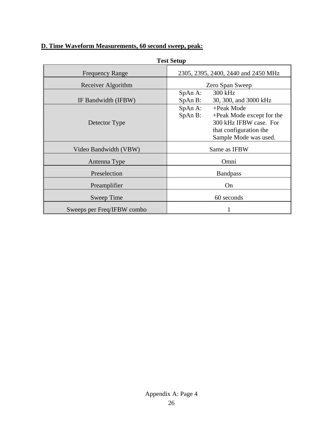# **D. Time Waveform Measurements, 60 second sweep, peak:**

| <b>Test Setup</b>          |                                                                                                                                            |  |  |
|----------------------------|--------------------------------------------------------------------------------------------------------------------------------------------|--|--|
| <b>Frequency Range</b>     | 2305, 2395, 2400, 2440 and 2450 MHz                                                                                                        |  |  |
| Receiver Algorithm         | Zero Span Sweep                                                                                                                            |  |  |
| IF Bandwidth (IFBW)        | 300 kHz<br>SpAn A:<br>30, 300, and 3000 kHz<br>SpAn B:                                                                                     |  |  |
| Detector Type              | SpAn A:<br>+Peak Mode<br>SpAn B:<br>+Peak Mode except for the<br>300 kHz IFBW case. For<br>that configuration the<br>Sample Mode was used. |  |  |
| Video Bandwidth (VBW)      | Same as IFBW                                                                                                                               |  |  |
| Antenna Type               | Omni                                                                                                                                       |  |  |
| Preselection               | <b>Bandpass</b>                                                                                                                            |  |  |
| Preamplifier               | On                                                                                                                                         |  |  |
| Sweep Time                 | 60 seconds                                                                                                                                 |  |  |
| Sweeps per Freq/IFBW combo |                                                                                                                                            |  |  |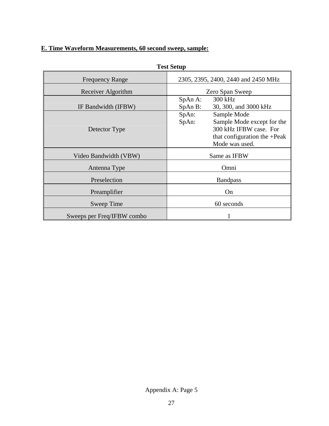## **E. Time Waveform Measurements, 60 second sweep, sample:**

| Test Setup                 |                                                                                                                                         |  |
|----------------------------|-----------------------------------------------------------------------------------------------------------------------------------------|--|
| <b>Frequency Range</b>     | 2305, 2395, 2400, 2440 and 2450 MHz                                                                                                     |  |
| Receiver Algorithm         | Zero Span Sweep                                                                                                                         |  |
| IF Bandwidth (IFBW)        | 300 kHz<br>$SpAn A$ :<br>30, 300, and 3000 kHz<br>$SpAn B$ :                                                                            |  |
| Detector Type              | SpAn:<br>Sample Mode<br>SpAn:<br>Sample Mode except for the<br>300 kHz IFBW case. For<br>that configuration the +Peak<br>Mode was used. |  |
| Video Bandwidth (VBW)      | Same as IFBW                                                                                                                            |  |
| Antenna Type               | Omni                                                                                                                                    |  |
| Preselection               | <b>Bandpass</b>                                                                                                                         |  |
| Preamplifier               | On                                                                                                                                      |  |
| Sweep Time                 | 60 seconds                                                                                                                              |  |
| Sweeps per Freq/IFBW combo |                                                                                                                                         |  |

**Test Setup** 

Appendix A: Page 5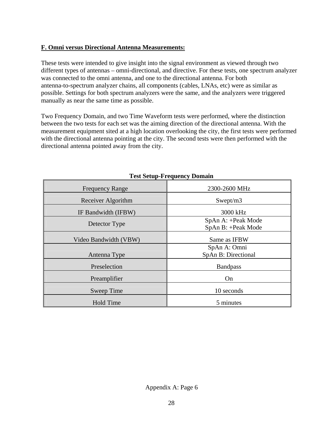## **F. Omni versus Directional Antenna Measurements:**

These tests were intended to give insight into the signal environment as viewed through two different types of antennas – omni-directional, and directive. For these tests, one spectrum analyzer was connected to the omni antenna, and one to the directional antenna. For both antenna-to-spectrum analyzer chains, all components (cables, LNAs, etc) were as similar as possible. Settings for both spectrum analyzers were the same, and the analyzers were triggered manually as near the same time as possible.

Two Frequency Domain, and two Time Waveform tests were performed, where the distinction between the two tests for each set was the aiming direction of the directional antenna. With the measurement equipment sited at a high location overlooking the city, the first tests were performed with the directional antenna pointing at the city. The second tests were then performed with the directional antenna pointed away from the city.

| <b>Frequency Range</b> | 2300-2600 MHz                            |
|------------------------|------------------------------------------|
| Receiver Algorithm     | Swept/m3                                 |
| IF Bandwidth (IFBW)    | 3000 kHz                                 |
| Detector Type          | SpAn A: +Peak Mode<br>SpAn B: +Peak Mode |
| Video Bandwidth (VBW)  | Same as IFBW                             |
| Antenna Type           | SpAn A: Omni<br>SpAn B: Directional      |
| Preselection           | <b>Bandpass</b>                          |
| Preamplifier           | On                                       |
| Sweep Time             | 10 seconds                               |
| Hold Time              | 5 minutes                                |

## **Test Setup-Frequency Domain**